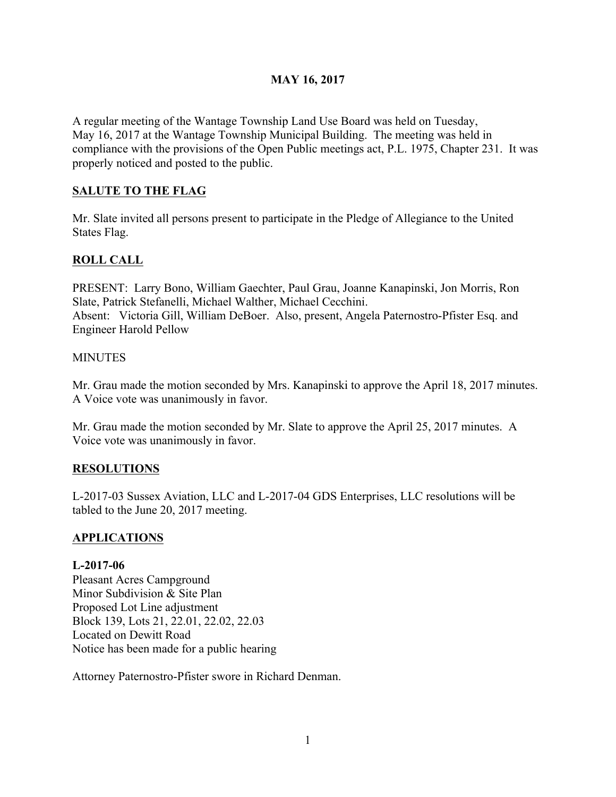## **MAY 16, 2017**

A regular meeting of the Wantage Township Land Use Board was held on Tuesday, May 16, 2017 at the Wantage Township Municipal Building. The meeting was held in compliance with the provisions of the Open Public meetings act, P.L. 1975, Chapter 231. It was properly noticed and posted to the public.

## **SALUTE TO THE FLAG**

Mr. Slate invited all persons present to participate in the Pledge of Allegiance to the United States Flag.

# **ROLL CALL**

PRESENT: Larry Bono, William Gaechter, Paul Grau, Joanne Kanapinski, Jon Morris, Ron Slate, Patrick Stefanelli, Michael Walther, Michael Cecchini. Absent: Victoria Gill, William DeBoer. Also, present, Angela Paternostro-Pfister Esq. and Engineer Harold Pellow

#### **MINUTES**

Mr. Grau made the motion seconded by Mrs. Kanapinski to approve the April 18, 2017 minutes. A Voice vote was unanimously in favor.

Mr. Grau made the motion seconded by Mr. Slate to approve the April 25, 2017 minutes. A Voice vote was unanimously in favor.

#### **RESOLUTIONS**

L-2017-03 Sussex Aviation, LLC and L-2017-04 GDS Enterprises, LLC resolutions will be tabled to the June 20, 2017 meeting.

#### **APPLICATIONS**

#### **L-2017-06**

Pleasant Acres Campground Minor Subdivision & Site Plan Proposed Lot Line adjustment Block 139, Lots 21, 22.01, 22.02, 22.03 Located on Dewitt Road Notice has been made for a public hearing

Attorney Paternostro-Pfister swore in Richard Denman.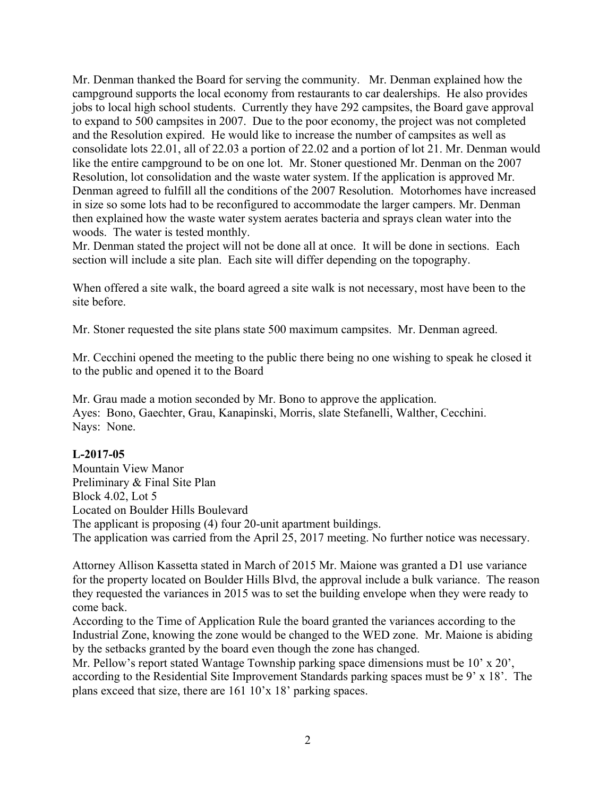Mr. Denman thanked the Board for serving the community. Mr. Denman explained how the campground supports the local economy from restaurants to car dealerships. He also provides jobs to local high school students. Currently they have 292 campsites, the Board gave approval to expand to 500 campsites in 2007. Due to the poor economy, the project was not completed and the Resolution expired. He would like to increase the number of campsites as well as consolidate lots 22.01, all of 22.03 a portion of 22.02 and a portion of lot 21. Mr. Denman would like the entire campground to be on one lot. Mr. Stoner questioned Mr. Denman on the 2007 Resolution, lot consolidation and the waste water system. If the application is approved Mr. Denman agreed to fulfill all the conditions of the 2007 Resolution. Motorhomes have increased in size so some lots had to be reconfigured to accommodate the larger campers. Mr. Denman then explained how the waste water system aerates bacteria and sprays clean water into the woods. The water is tested monthly.

Mr. Denman stated the project will not be done all at once. It will be done in sections. Each section will include a site plan. Each site will differ depending on the topography.

When offered a site walk, the board agreed a site walk is not necessary, most have been to the site before.

Mr. Stoner requested the site plans state 500 maximum campsites. Mr. Denman agreed.

Mr. Cecchini opened the meeting to the public there being no one wishing to speak he closed it to the public and opened it to the Board

Mr. Grau made a motion seconded by Mr. Bono to approve the application. Ayes: Bono, Gaechter, Grau, Kanapinski, Morris, slate Stefanelli, Walther, Cecchini. Nays: None.

#### **L-2017-05**

Mountain View Manor Preliminary & Final Site Plan Block 4.02, Lot 5 Located on Boulder Hills Boulevard The applicant is proposing (4) four 20-unit apartment buildings. The application was carried from the April 25, 2017 meeting. No further notice was necessary.

Attorney Allison Kassetta stated in March of 2015 Mr. Maione was granted a D1 use variance for the property located on Boulder Hills Blvd, the approval include a bulk variance. The reason they requested the variances in 2015 was to set the building envelope when they were ready to come back.

According to the Time of Application Rule the board granted the variances according to the Industrial Zone, knowing the zone would be changed to the WED zone. Mr. Maione is abiding by the setbacks granted by the board even though the zone has changed.

Mr. Pellow's report stated Wantage Township parking space dimensions must be 10' x 20', according to the Residential Site Improvement Standards parking spaces must be 9' x 18'. The plans exceed that size, there are 161 10'x 18' parking spaces.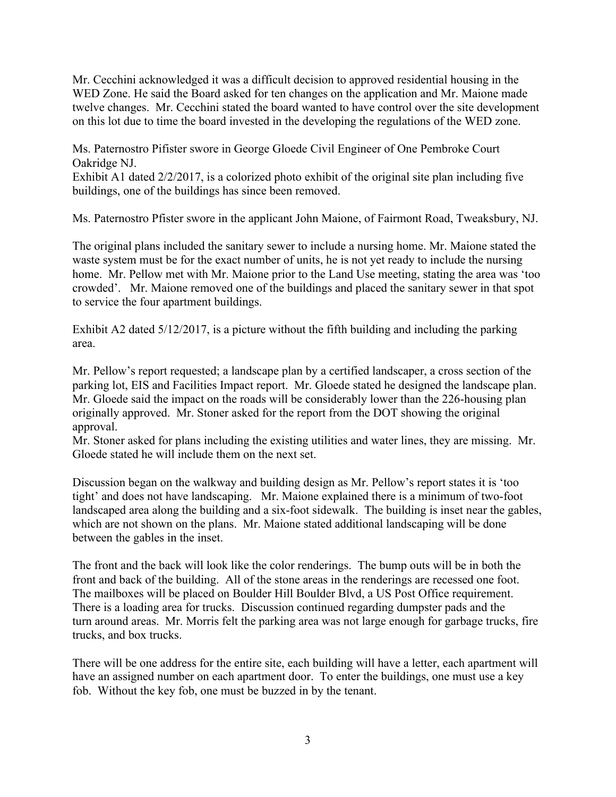Mr. Cecchini acknowledged it was a difficult decision to approved residential housing in the WED Zone. He said the Board asked for ten changes on the application and Mr. Maione made twelve changes. Mr. Cecchini stated the board wanted to have control over the site development on this lot due to time the board invested in the developing the regulations of the WED zone.

Ms. Paternostro Pifister swore in George Gloede Civil Engineer of One Pembroke Court Oakridge NJ.

Exhibit A1 dated 2/2/2017, is a colorized photo exhibit of the original site plan including five buildings, one of the buildings has since been removed.

Ms. Paternostro Pfister swore in the applicant John Maione, of Fairmont Road, Tweaksbury, NJ.

The original plans included the sanitary sewer to include a nursing home. Mr. Maione stated the waste system must be for the exact number of units, he is not yet ready to include the nursing home. Mr. Pellow met with Mr. Maione prior to the Land Use meeting, stating the area was 'too crowded'. Mr. Maione removed one of the buildings and placed the sanitary sewer in that spot to service the four apartment buildings.

Exhibit A2 dated 5/12/2017, is a picture without the fifth building and including the parking area.

Mr. Pellow's report requested; a landscape plan by a certified landscaper, a cross section of the parking lot, EIS and Facilities Impact report. Mr. Gloede stated he designed the landscape plan. Mr. Gloede said the impact on the roads will be considerably lower than the 226-housing plan originally approved. Mr. Stoner asked for the report from the DOT showing the original approval.

Mr. Stoner asked for plans including the existing utilities and water lines, they are missing. Mr. Gloede stated he will include them on the next set.

Discussion began on the walkway and building design as Mr. Pellow's report states it is 'too tight' and does not have landscaping. Mr. Maione explained there is a minimum of two-foot landscaped area along the building and a six-foot sidewalk. The building is inset near the gables, which are not shown on the plans. Mr. Maione stated additional landscaping will be done between the gables in the inset.

The front and the back will look like the color renderings. The bump outs will be in both the front and back of the building. All of the stone areas in the renderings are recessed one foot. The mailboxes will be placed on Boulder Hill Boulder Blvd, a US Post Office requirement. There is a loading area for trucks. Discussion continued regarding dumpster pads and the turn around areas. Mr. Morris felt the parking area was not large enough for garbage trucks, fire trucks, and box trucks.

There will be one address for the entire site, each building will have a letter, each apartment will have an assigned number on each apartment door. To enter the buildings, one must use a key fob. Without the key fob, one must be buzzed in by the tenant.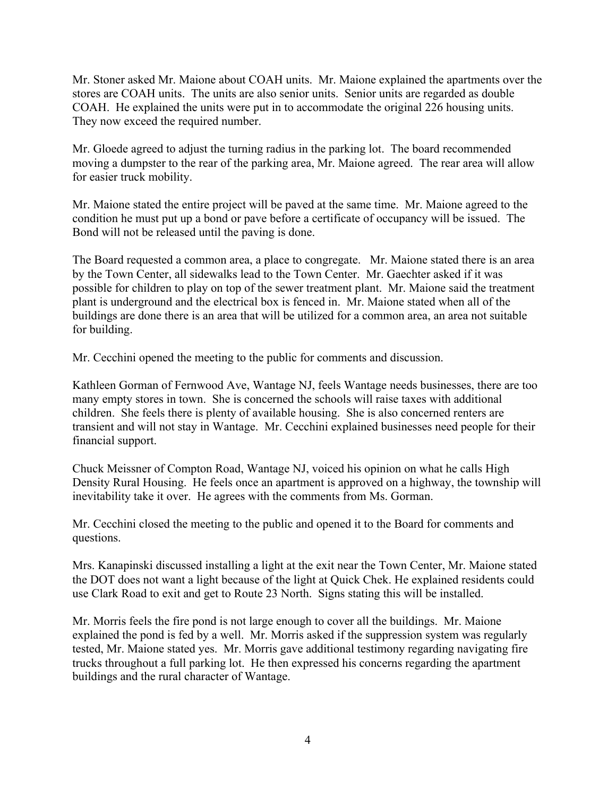Mr. Stoner asked Mr. Maione about COAH units. Mr. Maione explained the apartments over the stores are COAH units. The units are also senior units. Senior units are regarded as double COAH. He explained the units were put in to accommodate the original 226 housing units. They now exceed the required number.

Mr. Gloede agreed to adjust the turning radius in the parking lot. The board recommended moving a dumpster to the rear of the parking area, Mr. Maione agreed. The rear area will allow for easier truck mobility.

Mr. Maione stated the entire project will be paved at the same time. Mr. Maione agreed to the condition he must put up a bond or pave before a certificate of occupancy will be issued. The Bond will not be released until the paving is done.

The Board requested a common area, a place to congregate. Mr. Maione stated there is an area by the Town Center, all sidewalks lead to the Town Center. Mr. Gaechter asked if it was possible for children to play on top of the sewer treatment plant. Mr. Maione said the treatment plant is underground and the electrical box is fenced in. Mr. Maione stated when all of the buildings are done there is an area that will be utilized for a common area, an area not suitable for building.

Mr. Cecchini opened the meeting to the public for comments and discussion.

Kathleen Gorman of Fernwood Ave, Wantage NJ, feels Wantage needs businesses, there are too many empty stores in town. She is concerned the schools will raise taxes with additional children. She feels there is plenty of available housing. She is also concerned renters are transient and will not stay in Wantage. Mr. Cecchini explained businesses need people for their financial support.

Chuck Meissner of Compton Road, Wantage NJ, voiced his opinion on what he calls High Density Rural Housing. He feels once an apartment is approved on a highway, the township will inevitability take it over. He agrees with the comments from Ms. Gorman.

Mr. Cecchini closed the meeting to the public and opened it to the Board for comments and questions.

Mrs. Kanapinski discussed installing a light at the exit near the Town Center, Mr. Maione stated the DOT does not want a light because of the light at Quick Chek. He explained residents could use Clark Road to exit and get to Route 23 North. Signs stating this will be installed.

Mr. Morris feels the fire pond is not large enough to cover all the buildings. Mr. Maione explained the pond is fed by a well. Mr. Morris asked if the suppression system was regularly tested, Mr. Maione stated yes. Mr. Morris gave additional testimony regarding navigating fire trucks throughout a full parking lot. He then expressed his concerns regarding the apartment buildings and the rural character of Wantage.